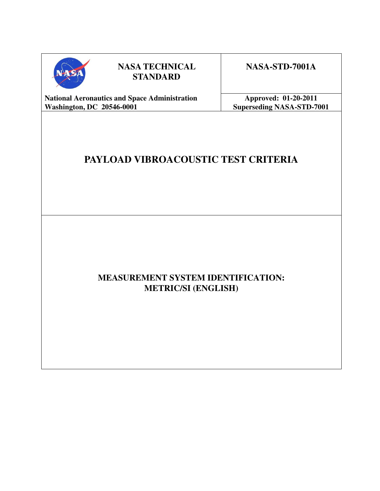

# **NASA TECHNICAL STANDARD**

**NASA-STD-7001A** 

**National Aeronautics and Space Administration Approved: 01-20-2011**<br> **Washington, DC 20546-0001 C** Superseding NASA-STD-70

**Superseding NASA-STD-7001** 

# **PAYLOAD VIBROACOUSTIC TEST CRITERIA**

# **MEASUREMENT SYSTEM IDENTIFICATION: METRIC/SI (ENGLISH)**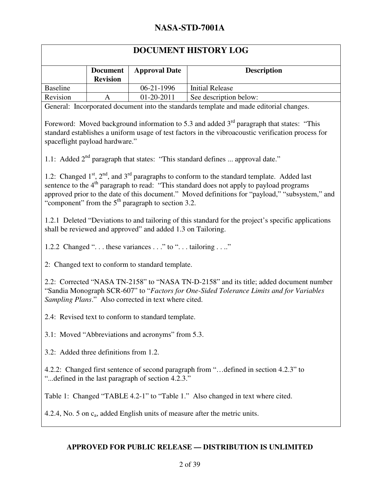## **DOCUMENT HISTORY LOG**

|          | <b>Document</b><br><b>Revision</b> | <b>Approval Date</b> | <b>Description</b>     |
|----------|------------------------------------|----------------------|------------------------|
| Baseline |                                    | $06 - 21 - 1996$     | Initial Release        |
| Revision |                                    | $01-20-2011$         | See description below: |

General: Incorporated document into the standards template and made editorial changes.

Foreword: Moved background information to 5.3 and added  $3<sup>rd</sup>$  paragraph that states: "This standard establishes a uniform usage of test factors in the vibroacoustic verification process for spaceflight payload hardware."

1.1: Added  $2<sup>nd</sup>$  paragraph that states: "This standard defines ... approval date."

1.2: Changed  $1^{st}$ ,  $2^{nd}$ , and  $3^{rd}$  paragraphs to conform to the standard template. Added last sentence to the 4<sup>th</sup> paragraph to read: "This standard does not apply to payload programs approved prior to the date of this document." Moved definitions for "payload," "subsystem," and "component" from the  $5<sup>th</sup>$  paragraph to section 3.2.

1.2.1 Deleted "Deviations to and tailoring of this standard for the project's specific applications shall be reviewed and approved" and added 1.3 on Tailoring.

1.2.2 Changed ". . . these variances . . ." to ". . . tailoring . . .."

2: Changed text to conform to standard template.

2.2: Corrected "NASA TN-2158" to "NASA TN-D-2158" and its title; added document number "Sandia Monograph SCR-607" to "*Factors for One-Sided Tolerance Limits and for Variables Sampling Plans*." Also corrected in text where cited.

2.4: Revised text to conform to standard template.

3.1: Moved "Abbreviations and acronyms" from 5.3.

3.2: Added three definitions from 1.2.

4.2.2: Changed first sentence of second paragraph from "…defined in section 4.2.3" to "...defined in the last paragraph of section 4.2.3."

Table 1: Changed "TABLE 4.2-1" to "Table 1." Also changed in text where cited.

4.2.4, No. 5 on  $c_a$ , added English units of measure after the metric units.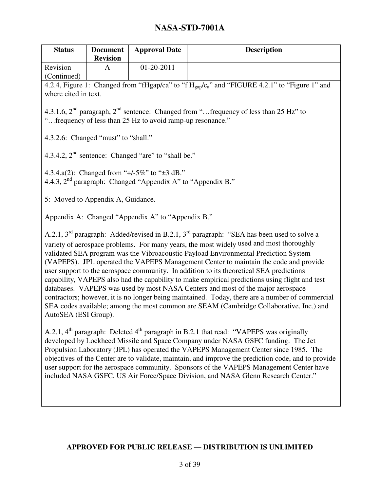| <b>Status</b>                                                                                                                                                                                                                                                                                                                                                                                                                                                                                                                                                                                                                                                                                                                                                                                                                                                                  | <b>Document</b><br><b>Revision</b>                                                                                                                                                                                                                                                                                                                                                                                                                                                                                                                                   | <b>Approval Date</b>                                                                                                | <b>Description</b>                                                                                                     |
|--------------------------------------------------------------------------------------------------------------------------------------------------------------------------------------------------------------------------------------------------------------------------------------------------------------------------------------------------------------------------------------------------------------------------------------------------------------------------------------------------------------------------------------------------------------------------------------------------------------------------------------------------------------------------------------------------------------------------------------------------------------------------------------------------------------------------------------------------------------------------------|----------------------------------------------------------------------------------------------------------------------------------------------------------------------------------------------------------------------------------------------------------------------------------------------------------------------------------------------------------------------------------------------------------------------------------------------------------------------------------------------------------------------------------------------------------------------|---------------------------------------------------------------------------------------------------------------------|------------------------------------------------------------------------------------------------------------------------|
| Revision<br>(Continued)                                                                                                                                                                                                                                                                                                                                                                                                                                                                                                                                                                                                                                                                                                                                                                                                                                                        | A                                                                                                                                                                                                                                                                                                                                                                                                                                                                                                                                                                    | 01-20-2011                                                                                                          |                                                                                                                        |
| where cited in text.                                                                                                                                                                                                                                                                                                                                                                                                                                                                                                                                                                                                                                                                                                                                                                                                                                                           |                                                                                                                                                                                                                                                                                                                                                                                                                                                                                                                                                                      |                                                                                                                     | 4.2.4, Figure 1: Changed from "fHgap/ca" to "f H <sub>gap</sub> /c <sub>a</sub> " and "FIGURE 4.2.1" to "Figure 1" and |
|                                                                                                                                                                                                                                                                                                                                                                                                                                                                                                                                                                                                                                                                                                                                                                                                                                                                                |                                                                                                                                                                                                                                                                                                                                                                                                                                                                                                                                                                      | "frequency of less than 25 Hz to avoid ramp-up resonance."                                                          | 4.3.1.6, $2nd$ paragraph, $2nd$ sentence: Changed from " frequency of less than 25 Hz" to                              |
| 4.3.2.6: Changed "must" to "shall."                                                                                                                                                                                                                                                                                                                                                                                                                                                                                                                                                                                                                                                                                                                                                                                                                                            |                                                                                                                                                                                                                                                                                                                                                                                                                                                                                                                                                                      |                                                                                                                     |                                                                                                                        |
|                                                                                                                                                                                                                                                                                                                                                                                                                                                                                                                                                                                                                                                                                                                                                                                                                                                                                |                                                                                                                                                                                                                                                                                                                                                                                                                                                                                                                                                                      | 4.3.4.2, 2 <sup>nd</sup> sentence: Changed "are" to "shall be."                                                     |                                                                                                                        |
|                                                                                                                                                                                                                                                                                                                                                                                                                                                                                                                                                                                                                                                                                                                                                                                                                                                                                |                                                                                                                                                                                                                                                                                                                                                                                                                                                                                                                                                                      | 4.3.4.a(2): Changed from "+/-5%" to " $\pm$ 3 dB."<br>4.4.3, $2nd$ paragraph: Changed "Appendix A" to "Appendix B." |                                                                                                                        |
| 5: Moved to Appendix A, Guidance.                                                                                                                                                                                                                                                                                                                                                                                                                                                                                                                                                                                                                                                                                                                                                                                                                                              |                                                                                                                                                                                                                                                                                                                                                                                                                                                                                                                                                                      |                                                                                                                     |                                                                                                                        |
|                                                                                                                                                                                                                                                                                                                                                                                                                                                                                                                                                                                                                                                                                                                                                                                                                                                                                |                                                                                                                                                                                                                                                                                                                                                                                                                                                                                                                                                                      | Appendix A: Changed "Appendix A" to "Appendix B."                                                                   |                                                                                                                        |
| A.2.1, $3rd$ paragraph: Added/revised in B.2.1, $3rd$ paragraph: "SEA has been used to solve a<br>variety of aerospace problems. For many years, the most widely used and most thoroughly<br>validated SEA program was the Vibroacoustic Payload Environmental Prediction System<br>(VAPEPS). JPL operated the VAPEPS Management Center to maintain the code and provide<br>user support to the aerospace community. In addition to its theoretical SEA predictions<br>capability, VAPEPS also had the capability to make empirical predictions using flight and test<br>databases. VAPEPS was used by most NASA Centers and most of the major aerospace<br>contractors; however, it is no longer being maintained. Today, there are a number of commercial<br>SEA codes available; among the most common are SEAM (Cambridge Collaborative, Inc.) and<br>AutoSEA (ESI Group). |                                                                                                                                                                                                                                                                                                                                                                                                                                                                                                                                                                      |                                                                                                                     |                                                                                                                        |
|                                                                                                                                                                                                                                                                                                                                                                                                                                                                                                                                                                                                                                                                                                                                                                                                                                                                                | A.2.1, $4^{th}$ paragraph: Deleted $4^{th}$ paragraph in B.2.1 that read: "VAPEPS was originally<br>developed by Lockheed Missile and Space Company under NASA GSFC funding. The Jet<br>Propulsion Laboratory (JPL) has operated the VAPEPS Management Center since 1985. The<br>objectives of the Center are to validate, maintain, and improve the prediction code, and to provide<br>user support for the aerospace community. Sponsors of the VAPEPS Management Center have<br>included NASA GSFC, US Air Force/Space Division, and NASA Glenn Research Center." |                                                                                                                     |                                                                                                                        |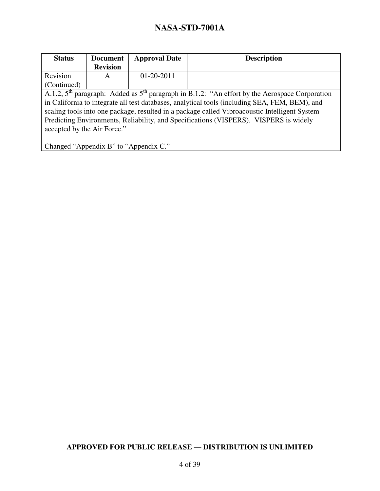| <b>Status</b>                                                                                                          | <b>Document</b> | <b>Approval Date</b> | <b>Description</b> |  |
|------------------------------------------------------------------------------------------------------------------------|-----------------|----------------------|--------------------|--|
|                                                                                                                        | <b>Revision</b> |                      |                    |  |
| Revision                                                                                                               | A               | $01-20-2011$         |                    |  |
| (Continued)                                                                                                            |                 |                      |                    |  |
| A.1.2, $5^{\text{th}}$ paragraph: Added as $5^{\text{th}}$ paragraph in B.1.2: "An effort by the Aerospace Corporation |                 |                      |                    |  |
| in California to integrate all test databases, analytical tools (including SEA, FEM, BEM), and                         |                 |                      |                    |  |
| scaling tools into one package, resulted in a package called Vibroacoustic Intelligent System                          |                 |                      |                    |  |
| Predicting Environments, Reliability, and Specifications (VISPERS). VISPERS is widely                                  |                 |                      |                    |  |

Changed "Appendix B" to "Appendix C."

accepted by the Air Force."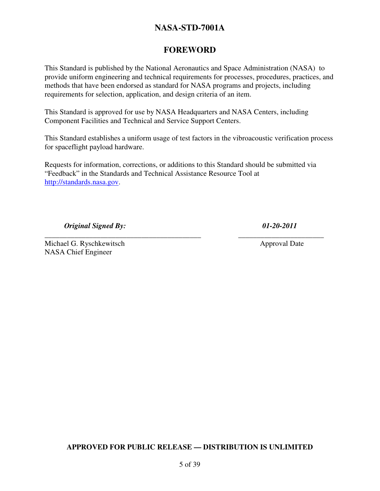#### **FOREWORD**

This Standard is published by the National Aeronautics and Space Administration (NASA) to provide uniform engineering and technical requirements for processes, procedures, practices, and methods that have been endorsed as standard for NASA programs and projects, including requirements for selection, application, and design criteria of an item.

This Standard is approved for use by NASA Headquarters and NASA Centers, including Component Facilities and Technical and Service Support Centers.

This Standard establishes a uniform usage of test factors in the vibroacoustic verification process for spaceflight payload hardware.

Requests for information, corrections, or additions to this Standard should be submitted via "Feedback" in the Standards and Technical Assistance Resource Tool at http://standards.nasa.gov.

\_\_\_\_\_\_\_\_\_\_\_\_\_\_\_\_\_\_\_\_\_\_\_\_\_\_\_\_\_\_\_\_\_\_\_\_\_\_\_\_\_\_ \_\_\_\_\_\_\_\_\_\_\_\_\_\_\_\_\_\_\_\_\_\_\_

*Original Signed By: 01-20-2011* 

Michael G. Ryschkewitsch Approval Date NASA Chief Engineer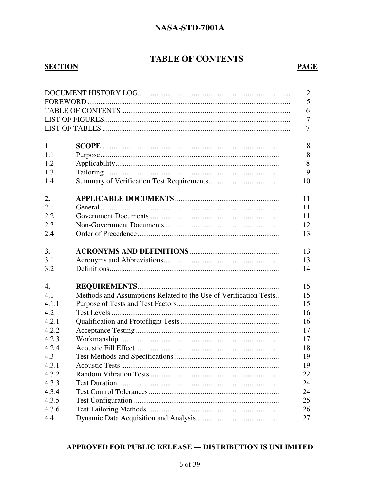# **TABLE OF CONTENTS**

#### **SECTION**

#### **PAGE**

|                |                                                                  | $\overline{2}$<br>5 |
|----------------|------------------------------------------------------------------|---------------------|
|                |                                                                  |                     |
| 6              |                                                                  |                     |
|                |                                                                  | 7<br>7              |
|                |                                                                  |                     |
| $\mathbf{1}$ . |                                                                  | 8                   |
| 1.1            |                                                                  | 8                   |
| 1.2            |                                                                  | 8                   |
| 1.3            |                                                                  | 9                   |
| 1.4            |                                                                  | 10                  |
|                |                                                                  |                     |
| 2.<br>2.1      |                                                                  | 11                  |
|                |                                                                  | 11                  |
| 2.2            |                                                                  | 11                  |
| 2.3            |                                                                  | 12                  |
| 2.4            |                                                                  | 13                  |
| 3.             |                                                                  | 13                  |
| 3.1            |                                                                  | 13                  |
| 3.2            |                                                                  | 14                  |
| 4.             |                                                                  | 15                  |
| 4.1            | Methods and Assumptions Related to the Use of Verification Tests | 15                  |
| 4.1.1          |                                                                  | 15                  |
| 4.2            |                                                                  | 16                  |
| 4.2.1          |                                                                  | 16                  |
| 4.2.2          |                                                                  | 17                  |
| 4.2.3          |                                                                  | 17                  |
| 4.2.4          |                                                                  | 18                  |
| 4.3            |                                                                  | 19                  |
| 4.3.1          |                                                                  | 19                  |
| 4.3.2          |                                                                  | 22                  |
| 4.3.3          |                                                                  | 24                  |
| 4.3.4          |                                                                  | 24                  |
| 4.3.5          |                                                                  | 25                  |
|                |                                                                  |                     |
| 4.3.6          |                                                                  | 26                  |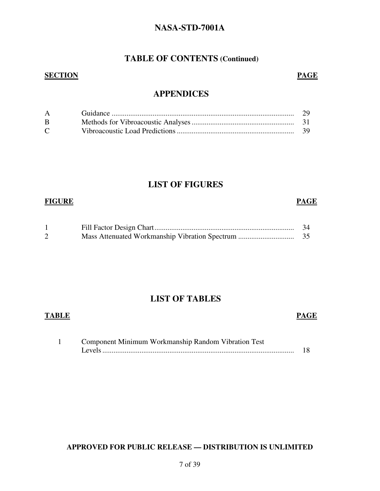#### **TABLE OF CONTENTS (Continued)**

#### **SECTION**

#### **PAGE**

#### **APPENDICES**

| $A \quad \alpha$ |  |
|------------------|--|
| B.               |  |
| $\mathcal{C}$    |  |

#### **LIST OF FIGURES**

# **FIGURE**

#### **LIST OF TABLES**

# 1 Component Minimum Workmanship Random Vibration Test

Levels .................................................................................................................... 18

#### **APPROVED FOR PUBLIC RELEASE — DISTRIBUTION IS UNLIMITED**

#### 7 of 39

#### **PAGE**

#### **PAGE**

# **TABLE**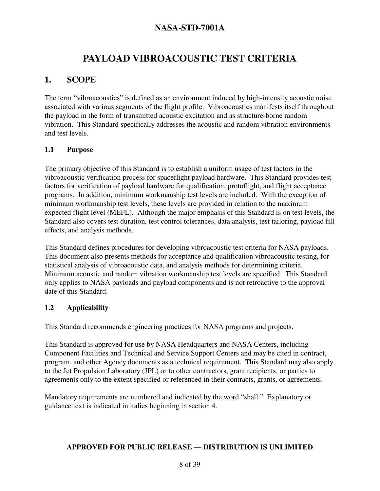# **PAYLOAD VIBROACOUSTIC TEST CRITERIA**

#### **1. SCOPE**

The term "vibroacoustics" is defined as an environment induced by high-intensity acoustic noise associated with various segments of the flight profile. Vibroacoustics manifests itself throughout the payload in the form of transmitted acoustic excitation and as structure-borne random vibration. This Standard specifically addresses the acoustic and random vibration environments and test levels.

#### **1.1 Purpose**

The primary objective of this Standard is to establish a uniform usage of test factors in the vibroacoustic verification process for spaceflight payload hardware. This Standard provides test factors for verification of payload hardware for qualification, protoflight, and flight acceptance programs. In addition, minimum workmanship test levels are included. With the exception of minimum workmanship test levels, these levels are provided in relation to the maximum expected flight level (MEFL). Although the major emphasis of this Standard is on test levels, the Standard also covers test duration, test control tolerances, data analysis, test tailoring, payload fill effects, and analysis methods.

This Standard defines procedures for developing vibroacoustic test criteria for NASA payloads. This document also presents methods for acceptance and qualification vibroacoustic testing, for statistical analysis of vibroacoustic data, and analysis methods for determining criteria. Minimum acoustic and random vibration workmanship test levels are specified. This Standard only applies to NASA payloads and payload components and is not retroactive to the approval date of this Standard.

#### **1.2 Applicability**

This Standard recommends engineering practices for NASA programs and projects.

This Standard is approved for use by NASA Headquarters and NASA Centers, including Component Facilities and Technical and Service Support Centers and may be cited in contract, program, and other Agency documents as a technical requirement. This Standard may also apply to the Jet Propulsion Laboratory (JPL) or to other contractors, grant recipients, or parties to agreements only to the extent specified or referenced in their contracts, grants, or agreements.

Mandatory requirements are numbered and indicated by the word "shall." Explanatory or guidance text is indicated in italics beginning in section 4.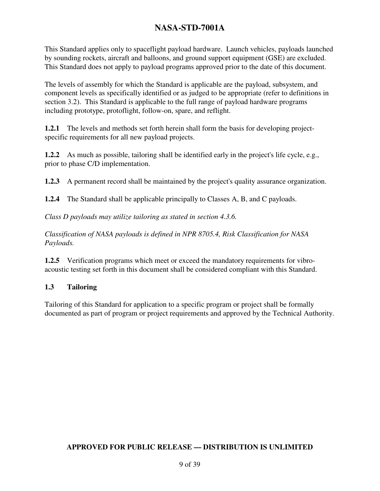This Standard applies only to spaceflight payload hardware. Launch vehicles, payloads launched by sounding rockets, aircraft and balloons, and ground support equipment (GSE) are excluded. This Standard does not apply to payload programs approved prior to the date of this document.

The levels of assembly for which the Standard is applicable are the payload, subsystem, and component levels as specifically identified or as judged to be appropriate (refer to definitions in section 3.2). This Standard is applicable to the full range of payload hardware programs including prototype, protoflight, follow-on, spare, and reflight.

**1.2.1** The levels and methods set forth herein shall form the basis for developing projectspecific requirements for all new payload projects.

**1.2.2** As much as possible, tailoring shall be identified early in the project's life cycle, e.g., prior to phase C/D implementation.

**1.2.3** A permanent record shall be maintained by the project's quality assurance organization.

**1.2.4** The Standard shall be applicable principally to Classes A, B, and C payloads.

*Class D payloads may utilize tailoring as stated in section 4.3.6.* 

*Classification of NASA payloads is defined in NPR 8705.4, Risk Classification for NASA Payloads.* 

**1.2.5** Verification programs which meet or exceed the mandatory requirements for vibroacoustic testing set forth in this document shall be considered compliant with this Standard.

#### **1.3 Tailoring**

Tailoring of this Standard for application to a specific program or project shall be formally documented as part of program or project requirements and approved by the Technical Authority.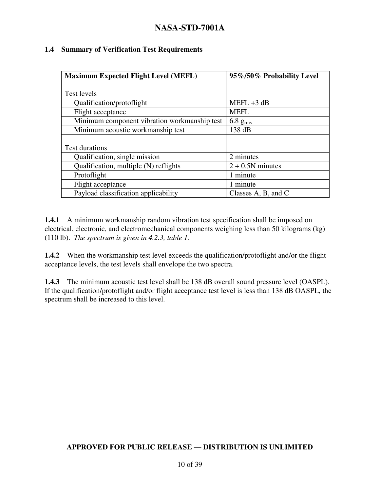|  | <b>1.4 Summary of Verification Test Requirements</b> |  |  |
|--|------------------------------------------------------|--|--|
|  |                                                      |  |  |

| <b>Maximum Expected Flight Level (MEFL)</b>  | 95%/50% Probability Level |
|----------------------------------------------|---------------------------|
|                                              |                           |
| Test levels                                  |                           |
| Qualification/protoflight                    | $MEFL + 3 dB$             |
| Flight acceptance                            | <b>MEFL</b>               |
| Minimum component vibration workmanship test | $6.8 g_{rms}$             |
| Minimum acoustic workmanship test            | 138 dB                    |
|                                              |                           |
| <b>Test durations</b>                        |                           |
| Qualification, single mission                | 2 minutes                 |
| Qualification, multiple (N) reflights        | $2 + 0.5N$ minutes        |
| Protoflight                                  | 1 minute                  |
| Flight acceptance                            | 1 minute                  |
| Payload classification applicability         | Classes A, B, and C       |

**1.4.1** A minimum workmanship random vibration test specification shall be imposed on electrical, electronic, and electromechanical components weighing less than 50 kilograms (kg) (110 lb). *The spectrum is given in 4.2.3, table 1.*

**1.4.2** When the workmanship test level exceeds the qualification/protoflight and/or the flight acceptance levels, the test levels shall envelope the two spectra.

**1.4.3** The minimum acoustic test level shall be 138 dB overall sound pressure level (OASPL). If the qualification/protoflight and/or flight acceptance test level is less than 138 dB OASPL, the spectrum shall be increased to this level.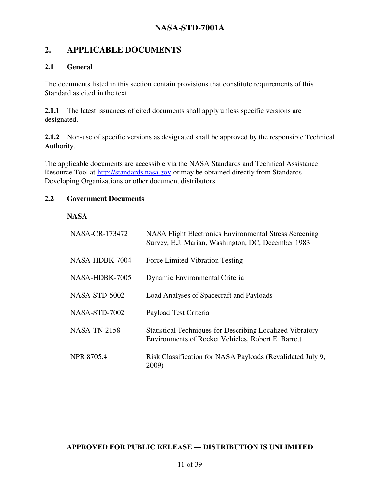#### **2. APPLICABLE DOCUMENTS**

#### **2.1 General**

The documents listed in this section contain provisions that constitute requirements of this Standard as cited in the text.

**2.1.1** The latest issuances of cited documents shall apply unless specific versions are designated.

**2.1.2** Non-use of specific versions as designated shall be approved by the responsible Technical Authority.

The applicable documents are accessible via the NASA Standards and Technical Assistance Resource Tool at http://standards.nasa.gov or may be obtained directly from Standards Developing Organizations or other document distributors.

#### **2.2 Government Documents**

#### **NASA**

| NASA-CR-173472    | <b>NASA Flight Electronics Environmental Stress Screening</b><br>Survey, E.J. Marian, Washington, DC, December 1983    |
|-------------------|------------------------------------------------------------------------------------------------------------------------|
| NASA-HDBK-7004    | Force Limited Vibration Testing                                                                                        |
| NASA-HDBK-7005    | Dynamic Environmental Criteria                                                                                         |
| NASA-STD-5002     | Load Analyses of Spacecraft and Payloads                                                                               |
| NASA-STD-7002     | Payload Test Criteria                                                                                                  |
| NASA-TN-2158      | <b>Statistical Techniques for Describing Localized Vibratory</b><br>Environments of Rocket Vehicles, Robert E. Barrett |
| <b>NPR 8705.4</b> | Risk Classification for NASA Payloads (Revalidated July 9,<br>2009)                                                    |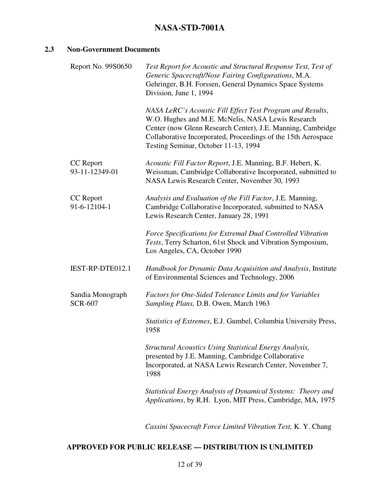#### **2.3 Non-Government Documents**

| Report No. 99S0650                 | Test Report for Acoustic and Structural Response Test, Test of<br>Generic Spacecraft/Nose Fairing Configurations, M.A.<br>Gehringer, B.H. Forssen, General Dynamics Space Systems<br>Division, June 1, 1994                                                                             |
|------------------------------------|-----------------------------------------------------------------------------------------------------------------------------------------------------------------------------------------------------------------------------------------------------------------------------------------|
|                                    | NASA LeRC's Acoustic Fill Effect Test Program and Results,<br>W.O. Hughes and M.E. McNelis, NASA Lewis Research<br>Center (now Glenn Research Center), J.E. Manning, Cambridge<br>Collaborative Incorporated, Proceedings of the 15th Aerospace<br>Testing Seminar, October 11-13, 1994 |
| CC Report<br>93-11-12349-01        | Acoustic Fill Factor Report, J.E. Manning, B.F. Hebert, K.<br>Weissman, Cambridge Collaborative Incorporated, submitted to<br>NASA Lewis Research Center, November 30, 1993                                                                                                             |
| CC Report<br>91-6-12104-1          | Analysis and Evaluation of the Fill Factor, J.E. Manning,<br>Cambridge Collaborative Incorporated, submitted to NASA<br>Lewis Research Center, January 28, 1991                                                                                                                         |
|                                    | Force Specifications for Extremal Dual Controlled Vibration<br>Tests, Terry Scharton, 61st Shock and Vibration Symposium,<br>Los Angeles, CA, October 1990                                                                                                                              |
| IEST-RP-DTE012.1                   | Handbook for Dynamic Data Acquisition and Analysis, Institute<br>of Environmental Sciences and Technology, 2006                                                                                                                                                                         |
| Sandia Monograph<br><b>SCR-607</b> | <b>Factors for One-Sided Tolerance Limits and for Variables</b><br>Sampling Plans, D.B. Owen, March 1963                                                                                                                                                                                |
|                                    | Statistics of Extremes, E.J. Gumbel, Columbia University Press,<br>1958                                                                                                                                                                                                                 |
|                                    | <b>Structural Acoustics Using Statistical Energy Analysis,</b><br>presented by J.E. Manning, Cambridge Collaborative<br>Incorporated, at NASA Lewis Research Center, November 7,<br>1988                                                                                                |
|                                    | Statistical Energy Analysis of Dynamical Systems: Theory and<br>Applications, by R.H. Lyon, MIT Press, Cambridge, MA, 1975                                                                                                                                                              |

*Cassini Spacecraft Force Limited Vibration Test,* K. Y. Chang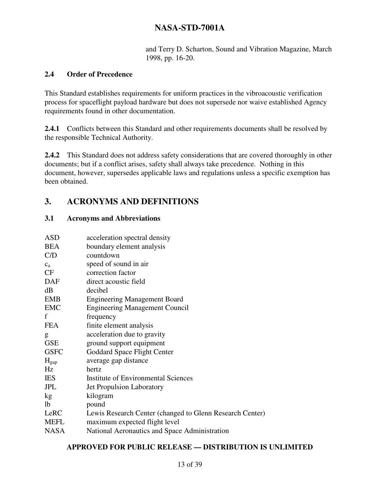and Terry D. Scharton, Sound and Vibration Magazine, March 1998, pp. 16-20.

#### **2.4 Order of Precedence**

This Standard establishes requirements for uniform practices in the vibroacoustic verification process for spaceflight payload hardware but does not supersede nor waive established Agency requirements found in other documentation.

**2.4.1** Conflicts between this Standard and other requirements documents shall be resolved by the responsible Technical Authority.

**2.4.2** This Standard does not address safety considerations that are covered thoroughly in other documents; but if a conflict arises, safety shall always take precedence. Nothing in this document, however, supersedes applicable laws and regulations unless a specific exemption has been obtained.

# **3. ACRONYMS AND DEFINITIONS**

#### **3.1 Acronyms and Abbreviations**

| <b>ASD</b>       | acceleration spectral density                            |
|------------------|----------------------------------------------------------|
| <b>BEA</b>       | boundary element analysis                                |
| C/D              | countdown                                                |
| $C_{2}$          | speed of sound in air                                    |
| CF               | correction factor                                        |
| <b>DAF</b>       | direct acoustic field                                    |
| dB               | decibel                                                  |
| <b>EMB</b>       | <b>Engineering Management Board</b>                      |
| <b>EMC</b>       | <b>Engineering Management Council</b>                    |
| f                | frequency                                                |
| <b>FEA</b>       | finite element analysis                                  |
| g                | acceleration due to gravity                              |
| <b>GSE</b>       | ground support equipment                                 |
| <b>GSFC</b>      | Goddard Space Flight Center                              |
| $H_{\text{gap}}$ | average gap distance                                     |
| Hz               | hertz                                                    |
| <b>IES</b>       | <b>Institute of Environmental Sciences</b>               |
| <b>JPL</b>       | <b>Jet Propulsion Laboratory</b>                         |
| kg               | kilogram                                                 |
| <sup>1</sup> b   | pound                                                    |
| LeRC             | Lewis Research Center (changed to Glenn Research Center) |
| <b>MEFL</b>      | maximum expected flight level                            |
| <b>NASA</b>      | National Aeronautics and Space Administration            |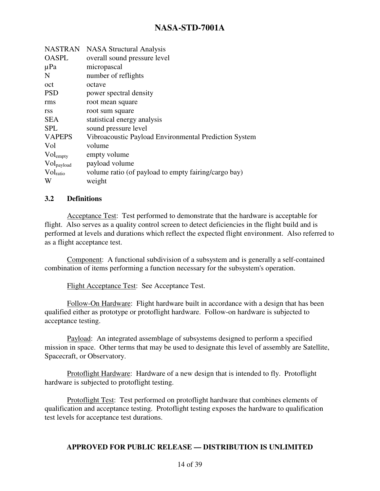| NASTRAN                | <b>NASA Structural Analysis</b>                       |
|------------------------|-------------------------------------------------------|
| <b>OASPL</b>           | overall sound pressure level                          |
| $\mu$ Pa               | micropascal                                           |
| N                      | number of reflights                                   |
| oct                    | octave                                                |
| <b>PSD</b>             | power spectral density                                |
| rms                    | root mean square                                      |
| rss                    | root sum square                                       |
| <b>SEA</b>             | statistical energy analysis                           |
| <b>SPL</b>             | sound pressure level                                  |
| <b>VAPEPS</b>          | Vibroacoustic Payload Environmental Prediction System |
| Vol                    | volume                                                |
| $Vol_{\text{empty}}$   | empty volume                                          |
| Vol <sub>payload</sub> | payload volume                                        |
| Vol <sub>ratio</sub>   | volume ratio (of payload to empty fairing/cargo bay)  |
| W                      | weight                                                |

#### **3.2 Definitions**

 Acceptance Test: Test performed to demonstrate that the hardware is acceptable for flight. Also serves as a quality control screen to detect deficiencies in the flight build and is performed at levels and durations which reflect the expected flight environment. Also referred to as a flight acceptance test.

 Component: A functional subdivision of a subsystem and is generally a self-contained combination of items performing a function necessary for the subsystem's operation.

Flight Acceptance Test: See Acceptance Test.

 Follow-On Hardware: Flight hardware built in accordance with a design that has been qualified either as prototype or protoflight hardware. Follow-on hardware is subjected to acceptance testing.

 Payload: An integrated assemblage of subsystems designed to perform a specified mission in space. Other terms that may be used to designate this level of assembly are Satellite, Spacecraft, or Observatory.

 Protoflight Hardware: Hardware of a new design that is intended to fly. Protoflight hardware is subjected to protoflight testing.

 Protoflight Test: Test performed on protoflight hardware that combines elements of qualification and acceptance testing. Protoflight testing exposes the hardware to qualification test levels for acceptance test durations.

#### **APPROVED FOR PUBLIC RELEASE — DISTRIBUTION IS UNLIMITED**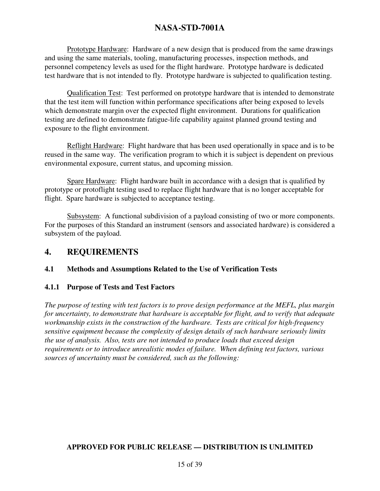Prototype Hardware: Hardware of a new design that is produced from the same drawings and using the same materials, tooling, manufacturing processes, inspection methods, and personnel competency levels as used for the flight hardware. Prototype hardware is dedicated test hardware that is not intended to fly. Prototype hardware is subjected to qualification testing.

Qualification Test: Test performed on prototype hardware that is intended to demonstrate that the test item will function within performance specifications after being exposed to levels which demonstrate margin over the expected flight environment. Durations for qualification testing are defined to demonstrate fatigue-life capability against planned ground testing and exposure to the flight environment.

Reflight Hardware: Flight hardware that has been used operationally in space and is to be reused in the same way. The verification program to which it is subject is dependent on previous environmental exposure, current status, and upcoming mission.

Spare Hardware: Flight hardware built in accordance with a design that is qualified by prototype or protoflight testing used to replace flight hardware that is no longer acceptable for flight. Spare hardware is subjected to acceptance testing.

 Subsystem: A functional subdivision of a payload consisting of two or more components. For the purposes of this Standard an instrument (sensors and associated hardware) is considered a subsystem of the payload.

#### **4. REQUIREMENTS**

#### **4.1 Methods and Assumptions Related to the Use of Verification Tests**

#### **4.1.1 Purpose of Tests and Test Factors**

*The purpose of testing with test factors is to prove design performance at the MEFL, plus margin for uncertainty, to demonstrate that hardware is acceptable for flight, and to verify that adequate workmanship exists in the construction of the hardware. Tests are critical for high-frequency sensitive equipment because the complexity of design details of such hardware seriously limits the use of analysis. Also, tests are not intended to produce loads that exceed design requirements or to introduce unrealistic modes of failure. When defining test factors, various sources of uncertainty must be considered, such as the following:*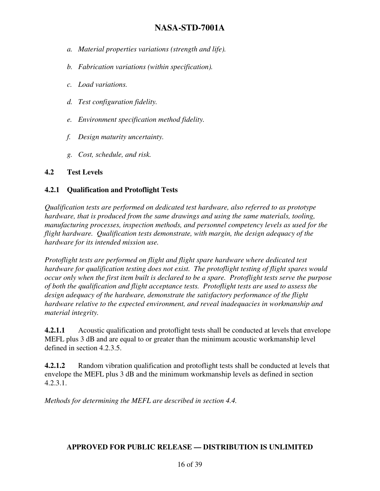- *a. Material properties variations (strength and life).*
- *b. Fabrication variations (within specification).*
- *c. Load variations.*
- *d. Test configuration fidelity.*
- *e. Environment specification method fidelity.*
- *f. Design maturity uncertainty.*
- *g. Cost, schedule, and risk.*

#### **4.2 Test Levels**

#### **4.2.1 Qualification and Protoflight Tests**

*Qualification tests are performed on dedicated test hardware, also referred to as prototype hardware, that is produced from the same drawings and using the same materials, tooling, manufacturing processes, inspection methods, and personnel competency levels as used for the flight hardware. Qualification tests demonstrate, with margin, the design adequacy of the hardware for its intended mission use.* 

*Protoflight tests are performed on flight and flight spare hardware where dedicated test hardware for qualification testing does not exist. The protoflight testing of flight spares would occur only when the first item built is declared to be a spare. Protoflight tests serve the purpose of both the qualification and flight acceptance tests. Protoflight tests are used to assess the design adequacy of the hardware, demonstrate the satisfactory performance of the flight hardware relative to the expected environment, and reveal inadequacies in workmanship and material integrity.* 

**4.2.1.1** Acoustic qualification and protoflight tests shall be conducted at levels that envelope MEFL plus 3 dB and are equal to or greater than the minimum acoustic workmanship level defined in section 4.2.3.5.

**4.2.1.2** Random vibration qualification and protoflight tests shall be conducted at levels that envelope the MEFL plus 3 dB and the minimum workmanship levels as defined in section 4.2.3.1.

*Methods for determining the MEFL are described in section 4.4.* 

#### **APPROVED FOR PUBLIC RELEASE — DISTRIBUTION IS UNLIMITED**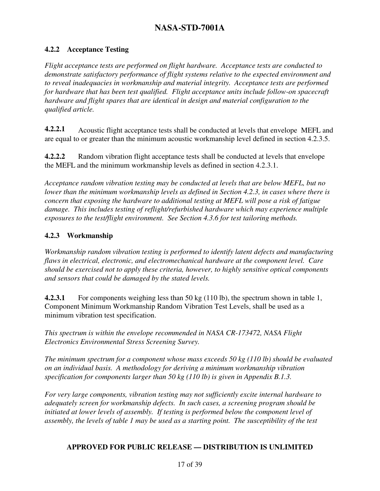#### **4.2.2 Acceptance Testing**

*Flight acceptance tests are performed on flight hardware. Acceptance tests are conducted to demonstrate satisfactory performance of flight systems relative to the expected environment and to reveal inadequacies in workmanship and material integrity. Acceptance tests are performed*  for hardware that has been test qualified. Flight acceptance units include follow-on spacecraft *hardware and flight spares that are identical in design and material configuration to the qualified article.* 

**4.2.2.1** • Acoustic flight acceptance tests shall be conducted at levels that envelope MEFL and are equal to or greater than the minimum acoustic workmanship level defined in section 4.2.3.5.

**4.2.2.2** Random vibration flight acceptance tests shall be conducted at levels that envelope the MEFL and the minimum workmanship levels as defined in section 4.2.3.1.

*Acceptance random vibration testing may be conducted at levels that are below MEFL, but no lower than the minimum workmanship levels as defined in Section 4.2.3, in cases where there is concern that exposing the hardware to additional testing at MEFL will pose a risk of fatigue damage. This includes testing of reflight/refurbished hardware which may experience multiple exposures to the test/flight environment. See Section 4.3.6 for test tailoring methods.* 

#### **4.2.3 Workmanship**

*Workmanship random vibration testing is performed to identify latent defects and manufacturing flaws in electrical, electronic, and electromechanical hardware at the component level. Care should be exercised not to apply these criteria, however, to highly sensitive optical components and sensors that could be damaged by the stated levels.* 

**4.2.3.1** For components weighing less than 50 kg (110 lb), the spectrum shown in table 1, Component Minimum Workmanship Random Vibration Test Levels, shall be used as a minimum vibration test specification.

*This spectrum is within the envelope recommended in NASA CR-173472, NASA Flight Electronics Environmental Stress Screening Survey.* 

*The minimum spectrum for a component whose mass exceeds 50 kg (110 lb) should be evaluated on an individual basis. A methodology for deriving a minimum workmanship vibration specification for components larger than 50 kg (110 lb) is given in Appendix B.1.3.* 

*For very large components, vibration testing may not sufficiently excite internal hardware to adequately screen for workmanship defects. In such cases, a screening program should be*  initiated at lower levels of assembly. If testing is performed below the component level of *assembly, the levels of table 1 may be used as a starting point. The susceptibility of the test*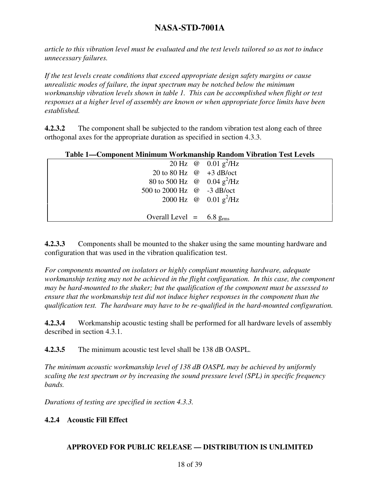*article to this vibration level must be evaluated and the test levels tailored so as not to induce unnecessary failures.* 

*If the test levels create conditions that exceed appropriate design safety margins or cause unrealistic modes of failure, the input spectrum may be notched below the minimum workmanship vibration levels shown in table 1. This can be accomplished when flight or test responses at a higher level of assembly are known or when appropriate force limits have been established.* 

**4.2.3.2** The component shall be subjected to the random vibration test along each of three orthogonal axes for the appropriate duration as specified in section 4.3.3.

#### **Table 1—Component Minimum Workmanship Random Vibration Test Levels**

|                                               | 20 Hz $\omega$ 0.01 $g^2$ /Hz          |
|-----------------------------------------------|----------------------------------------|
| 20 to 80 Hz $@ +3 dB/oct$                     |                                        |
| 80 to 500 Hz $\omega$ 0.04 g <sup>2</sup> /Hz |                                        |
| 500 to 2000 Hz @ -3 dB/oct                    |                                        |
|                                               | 2000 Hz @ $0.01 \text{ g}^2/\text{Hz}$ |
|                                               |                                        |
| Overall Level = $6.8 \text{ g}_{\text{rms}}$  |                                        |

**4.2.3.3** Components shall be mounted to the shaker using the same mounting hardware and configuration that was used in the vibration qualification test.

*For components mounted on isolators or highly compliant mounting hardware, adequate workmanship testing may not be achieved in the flight configuration. In this case, the component may be hard-mounted to the shaker; but the qualification of the component must be assessed to ensure that the workmanship test did not induce higher responses in the component than the qualification test. The hardware may have to be re-qualified in the hard-mounted configuration.*

**4.2.3.4** Workmanship acoustic testing shall be performed for all hardware levels of assembly described in section 4.3.1.

**4.2.3.5** The minimum acoustic test level shall be 138 dB OASPL.

*The minimum acoustic workmanship level of 138 dB OASPL may be achieved by uniformly scaling the test spectrum or by increasing the sound pressure level (SPL) in specific frequency bands.* 

*Durations of testing are specified in section 4.3.3.* 

#### **4.2.4 Acoustic Fill Effect**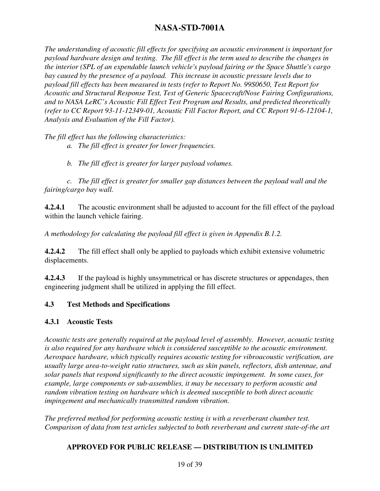*The understanding of acoustic fill effects for specifying an acoustic environment is important for payload hardware design and testing. The fill effect is the term used to describe the changes in the interior (SPL of an expendable launch vehicle's payload fairing or the Space Shuttle's cargo bay caused by the presence of a payload. This increase in acoustic pressure levels due to payload fill effects has been measured in tests (refer to Report No. 99S0650, Test Report for Acoustic and Structural Response Test, Test of Generic Spacecraft/Nose Fairing Configurations, and to NASA LeRC's Acoustic Fill Effect Test Program and Results, and predicted theoretically (refer to CC Report 93-11-12349-01, Acoustic Fill Factor Report, and CC Report 91-6-12104-1, Analysis and Evaluation of the Fill Factor).* 

*The fill effect has the following characteristics:* 

 *a. The fill effect is greater for lower frequencies.* 

 *b. The fill effect is greater for larger payload volumes.* 

 *c. The fill effect is greater for smaller gap distances between the payload wall and the fairing/cargo bay wall.* 

**4.2.4.1** The acoustic environment shall be adjusted to account for the fill effect of the payload within the launch vehicle fairing.

*A methodology for calculating the payload fill effect is given in Appendix B.1.2.*

**4.2.4.2** The fill effect shall only be applied to payloads which exhibit extensive volumetric displacements.

**4.2.4.3** If the payload is highly unsymmetrical or has discrete structures or appendages, then engineering judgment shall be utilized in applying the fill effect.

#### **4.3 Test Methods and Specifications**

#### **4.3.1 Acoustic Tests**

*Acoustic tests are generally required at the payload level of assembly. However, acoustic testing is also required for any hardware which is considered susceptible to the acoustic environment. Aerospace hardware, which typically requires acoustic testing for vibroacoustic verification, are usually large area-to-weight ratio structures, such as skin panels, reflectors, dish antennae, and solar panels that respond significantly to the direct acoustic impingement. In some cases, for example, large components or sub-assemblies, it may be necessary to perform acoustic and random vibration testing on hardware which is deemed susceptible to both direct acoustic impingement and mechanically transmitted random vibration.* 

*The preferred method for performing acoustic testing is with a reverberant chamber test. Comparison of data from test articles subjected to both reverberant and current state-of-the art*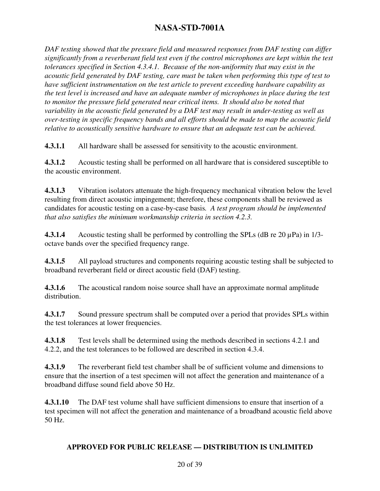*DAF testing showed that the pressure field and measured responses from DAF testing can differ significantly from a reverberant field test even if the control microphones are kept within the test tolerances specified in Section 4.3.4.1. Because of the non-uniformity that may exist in the acoustic field generated by DAF testing, care must be taken when performing this type of test to have sufficient instrumentation on the test article to prevent exceeding hardware capability as the test level is increased and have an adequate number of microphones in place during the test to monitor the pressure field generated near critical items. It should also be noted that variability in the acoustic field generated by a DAF test may result in under-testing as well as over-testing in specific frequency bands and all efforts should be made to map the acoustic field relative to acoustically sensitive hardware to ensure that an adequate test can be achieved.* 

**4.3.1.1** All hardware shall be assessed for sensitivity to the acoustic environment.

**4.3.1.2** Acoustic testing shall be performed on all hardware that is considered susceptible to the acoustic environment.

**4.3.1.3** Vibration isolators attenuate the high-frequency mechanical vibration below the level resulting from direct acoustic impingement; therefore, these components shall be reviewed as candidates for acoustic testing on a case-by-case basis*. A test program should be implemented that also satisfies the minimum workmanship criteria in section 4.2.3.*

**4.3.1.4** Acoustic testing shall be performed by controlling the SPLs (dB re 20 µPa) in 1/3octave bands over the specified frequency range.

**4.3.1.5** All payload structures and components requiring acoustic testing shall be subjected to broadband reverberant field or direct acoustic field (DAF) testing.

**4.3.1.6** The acoustical random noise source shall have an approximate normal amplitude distribution.

**4.3.1.7** Sound pressure spectrum shall be computed over a period that provides SPLs within the test tolerances at lower frequencies.

**4.3.1.8** Test levels shall be determined using the methods described in sections 4.2.1 and 4.2.2, and the test tolerances to be followed are described in section 4.3.4.

**4.3.1.9** The reverberant field test chamber shall be of sufficient volume and dimensions to ensure that the insertion of a test specimen will not affect the generation and maintenance of a broadband diffuse sound field above 50 Hz.

**4.3.1.10** The DAF test volume shall have sufficient dimensions to ensure that insertion of a test specimen will not affect the generation and maintenance of a broadband acoustic field above 50 Hz.

#### **APPROVED FOR PUBLIC RELEASE — DISTRIBUTION IS UNLIMITED**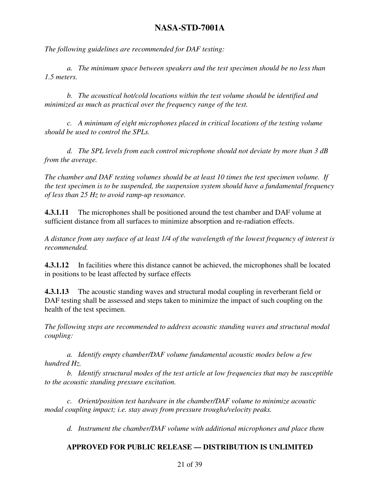*The following guidelines are recommended for DAF testing:* 

*a. The minimum space between speakers and the test specimen should be no less than 1.5 meters.* 

*b. The acoustical hot/cold locations within the test volume should be identified and minimized as much as practical over the frequency range of the test.* 

*c. A minimum of eight microphones placed in critical locations of the testing volume should be used to control the SPLs.* 

*d. The SPL levels from each control microphone should not deviate by more than 3 dB from the average.* 

*The chamber and DAF testing volumes should be at least 10 times the test specimen volume. If the test specimen is to be suspended, the suspension system should have a fundamental frequency of less than 25 Hz to avoid ramp-up resonance.*

**4.3.1.11** The microphones shall be positioned around the test chamber and DAF volume at sufficient distance from all surfaces to minimize absorption and re-radiation effects.

*A distance from any surface of at least 1/4 of the wavelength of the lowest frequency of interest is recommended.* 

**4.3.1.12** In facilities where this distance cannot be achieved, the microphones shall be located in positions to be least affected by surface effects

**4.3.1.13** The acoustic standing waves and structural modal coupling in reverberant field or DAF testing shall be assessed and steps taken to minimize the impact of such coupling on the health of the test specimen.

*The following steps are recommended to address acoustic standing waves and structural modal coupling:* 

*a. Identify empty chamber/DAF volume fundamental acoustic modes below a few hundred Hz.* 

*b. Identify structural modes of the test article at low frequencies that may be susceptible to the acoustic standing pressure excitation.* 

*c. Orient/position test hardware in the chamber/DAF volume to minimize acoustic modal coupling impact; i.e. stay away from pressure troughs/velocity peaks.* 

*d. Instrument the chamber/DAF volume with additional microphones and place them*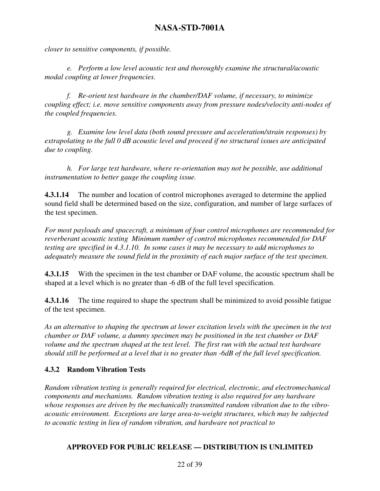*closer to sensitive components, if possible.* 

*e. Perform a low level acoustic test and thoroughly examine the structural/acoustic modal coupling at lower frequencies.* 

*f. Re-orient test hardware in the chamber/DAF volume, if necessary, to minimize coupling effect; i.e. move sensitive components away from pressure nodes/velocity anti-nodes of the coupled frequencies.* 

*g. Examine low level data (both sound pressure and acceleration/strain responses) by extrapolating to the full 0 dB acoustic level and proceed if no structural issues are anticipated due to coupling.* 

*h. For large test hardware, where re-orientation may not be possible, use additional instrumentation to better gauge the coupling issue.* 

**4.3.1.14** The number and location of control microphones averaged to determine the applied sound field shall be determined based on the size, configuration, and number of large surfaces of the test specimen.

*For most payloads and spacecraft, a minimum of four control microphones are recommended for reverberant acoustic testing Minimum number of control microphones recommended for DAF testing are specified in 4.3.1.10. In some cases it may be necessary to add microphones to adequately measure the sound field in the proximity of each major surface of the test specimen.* 

**4.3.1.15** With the specimen in the test chamber or DAF volume, the acoustic spectrum shall be shaped at a level which is no greater than -6 dB of the full level specification.

**4.3.1.16** The time required to shape the spectrum shall be minimized to avoid possible fatigue of the test specimen.

*As an alternative to shaping the spectrum at lower excitation levels with the specimen in the test chamber or DAF volume, a dummy specimen may be positioned in the test chamber or DAF volume and the spectrum shaped at the test level. The first run with the actual test hardware should still be performed at a level that is no greater than -6dB of the full level specification.* 

#### **4.3.2 Random Vibration Tests**

*Random vibration testing is generally required for electrical, electronic, and electromechanical components and mechanisms. Random vibration testing is also required for any hardware whose responses are driven by the mechanically transmitted random vibration due to the vibroacoustic environment. Exceptions are large area-to-weight structures, which may be subjected to acoustic testing in lieu of random vibration, and hardware not practical to*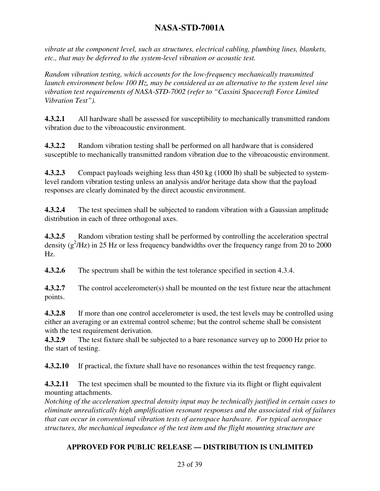*vibrate at the component level, such as structures, electrical cabling, plumbing lines, blankets, etc., that may be deferred to the system-level vibration or acoustic test.* 

*Random vibration testing, which accounts for the low-frequency mechanically transmitted launch environment below 100 Hz, may be considered as an alternative to the system level sine vibration test requirements of NASA-STD-7002 (refer to "Cassini Spacecraft Force Limited Vibration Test").* 

**4.3.2.1** All hardware shall be assessed for susceptibility to mechanically transmitted random vibration due to the vibroacoustic environment.

**4.3.2.2** Random vibration testing shall be performed on all hardware that is considered susceptible to mechanically transmitted random vibration due to the vibroacoustic environment.

**4.3.2.3** Compact payloads weighing less than 450 kg (1000 lb) shall be subjected to systemlevel random vibration testing unless an analysis and/or heritage data show that the payload responses are clearly dominated by the direct acoustic environment.

**4.3.2.4** The test specimen shall be subjected to random vibration with a Gaussian amplitude distribution in each of three orthogonal axes.

**4.3.2.5** Random vibration testing shall be performed by controlling the acceleration spectral density  $(g^2/Hz)$  in 25 Hz or less frequency bandwidths over the frequency range from 20 to 2000 Hz.

**4.3.2.6** The spectrum shall be within the test tolerance specified in section 4.3.4.

**4.3.2.7** The control accelerometer(s) shall be mounted on the test fixture near the attachment points.

**4.3.2.8** If more than one control accelerometer is used, the test levels may be controlled using either an averaging or an extremal control scheme; but the control scheme shall be consistent with the test requirement derivation.

**4.3.2.9** The test fixture shall be subjected to a bare resonance survey up to 2000 Hz prior to the start of testing.

**4.3.2.10** If practical, the fixture shall have no resonances within the test frequency range.

**4.3.2.11** The test specimen shall be mounted to the fixture via its flight or flight equivalent mounting attachments.

*Notching of the acceleration spectral density input may be technically justified in certain cases to eliminate unrealistically high amplification resonant responses and the associated risk of failures that can occur in conventional vibration tests of aerospace hardware. For typical aerospace structures, the mechanical impedance of the test item and the flight mounting structure are*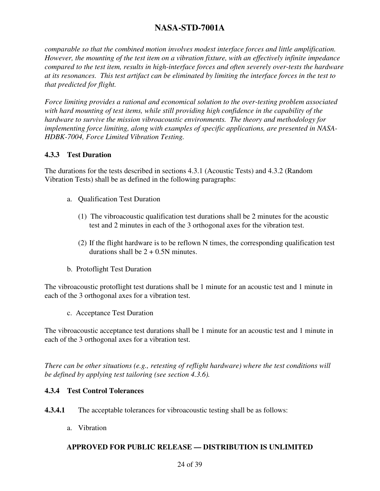*comparable so that the combined motion involves modest interface forces and little amplification. However, the mounting of the test item on a vibration fixture, with an effectively infinite impedance compared to the test item, results in high-interface forces and often severely over-tests the hardware at its resonances. This test artifact can be eliminated by limiting the interface forces in the test to that predicted for flight.* 

*Force limiting provides a rational and economical solution to the over-testing problem associated with hard mounting of test items, while still providing high confidence in the capability of the hardware to survive the mission vibroacoustic environments. The theory and methodology for implementing force limiting, along with examples of specific applications, are presented in NASA-HDBK-7004, Force Limited Vibration Testing.* 

#### **4.3.3 Test Duration**

The durations for the tests described in sections 4.3.1 (Acoustic Tests) and 4.3.2 (Random Vibration Tests) shall be as defined in the following paragraphs:

- a. Qualification Test Duration
	- (1) The vibroacoustic qualification test durations shall be 2 minutes for the acoustic test and 2 minutes in each of the 3 orthogonal axes for the vibration test.
	- (2) If the flight hardware is to be reflown N times, the corresponding qualification test durations shall be  $2 + 0.5N$  minutes.
- b. Protoflight Test Duration

The vibroacoustic protoflight test durations shall be 1 minute for an acoustic test and 1 minute in each of the 3 orthogonal axes for a vibration test.

c. Acceptance Test Duration

The vibroacoustic acceptance test durations shall be 1 minute for an acoustic test and 1 minute in each of the 3 orthogonal axes for a vibration test.

*There can be other situations (e.g., retesting of reflight hardware) where the test conditions will be defined by applying test tailoring (see section 4.3.6).* 

#### **4.3.4 Test Control Tolerances**

- **4.3.4.1** The acceptable tolerances for vibroacoustic testing shall be as follows:
	- a. Vibration

#### **APPROVED FOR PUBLIC RELEASE — DISTRIBUTION IS UNLIMITED**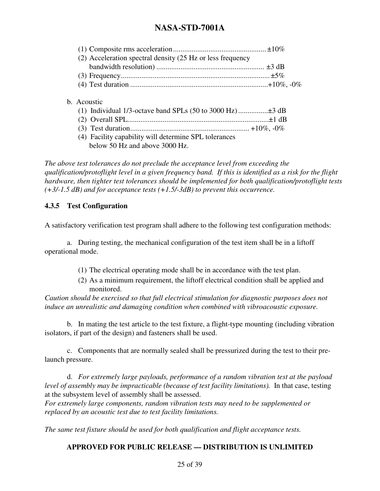| (2) Acceleration spectral density (25 Hz or less frequency |  |
|------------------------------------------------------------|--|
|                                                            |  |
|                                                            |  |
|                                                            |  |
| b. Acoustic                                                |  |
|                                                            |  |
|                                                            |  |
|                                                            |  |
| (4) Facility capability will determine SPL tolerances      |  |
| below 50 Hz and above 3000 Hz.                             |  |

*The above test tolerances do not preclude the acceptance level from exceeding the qualification/protoflight level in a given frequency band. If this is identified as a risk for the flight hardware, then tighter test tolerances should be implemented for both qualification/protoflight tests (+3/-1.5 dB) and for acceptance tests (+1.5/-3dB) to prevent this occurrence.* 

#### **4.3.5 Test Configuration**

A satisfactory verification test program shall adhere to the following test configuration methods:

a. During testing, the mechanical configuration of the test item shall be in a liftoff operational mode.

- (1) The electrical operating mode shall be in accordance with the test plan.
- (2) As a minimum requirement, the liftoff electrical condition shall be applied and monitored.

*Caution should be exercised so that full electrical stimulation for diagnostic purposes does not induce an unrealistic and damaging condition when combined with vibroacoustic exposure.* 

b. In mating the test article to the test fixture, a flight-type mounting (including vibration isolators, if part of the design) and fasteners shall be used.

 c. Components that are normally sealed shall be pressurized during the test to their prelaunch pressure.

 d. *For extremely large payloads, performance of a random vibration test at the payload level of assembly may be impracticable (because of test facility limitations).* In that case, testing at the subsystem level of assembly shall be assessed.

*For extremely large components, random vibration tests may need to be supplemented or replaced by an acoustic test due to test facility limitations.* 

*The same test fixture should be used for both qualification and flight acceptance tests.*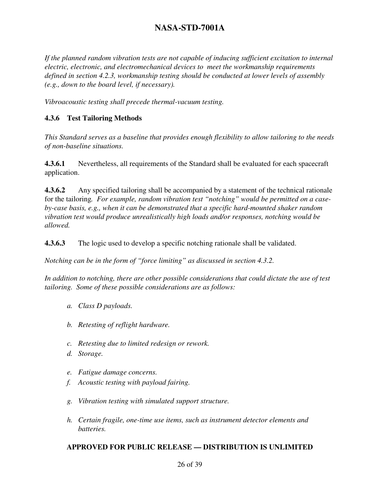*If the planned random vibration tests are not capable of inducing sufficient excitation to internal electric, electronic, and electromechanical devices to meet the workmanship requirements defined in section 4.2.3, workmanship testing should be conducted at lower levels of assembly (e.g., down to the board level, if necessary).* 

*Vibroacoustic testing shall precede thermal-vacuum testing.* 

#### **4.3.6 Test Tailoring Methods**

*This Standard serves as a baseline that provides enough flexibility to allow tailoring to the needs of non-baseline situations.* 

**4.3.6.1** Nevertheless, all requirements of the Standard shall be evaluated for each spacecraft application.

**4.3.6.2** Any specified tailoring shall be accompanied by a statement of the technical rationale for the tailoring*. For example, random vibration test "notching" would be permitted on a caseby-case basis, e.g., when it can be demonstrated that a specific hard-mounted shaker random vibration test would produce unrealistically high loads and/or responses, notching would be allowed.* 

**4.3.6.3** The logic used to develop a specific notching rationale shall be validated.

*Notching can be in the form of "force limiting" as discussed in section 4.3.2.* 

*In addition to notching, there are other possible considerations that could dictate the use of test tailoring. Some of these possible considerations are as follows:* 

- *a. Class D payloads.*
- *b. Retesting of reflight hardware.*
- *c. Retesting due to limited redesign or rework.*
- *d. Storage.*
- *e. Fatigue damage concerns.*
- *f. Acoustic testing with payload fairing.*
- *g. Vibration testing with simulated support structure.*
- *h. Certain fragile, one-time use items, such as instrument detector elements and batteries.*

#### **APPROVED FOR PUBLIC RELEASE — DISTRIBUTION IS UNLIMITED**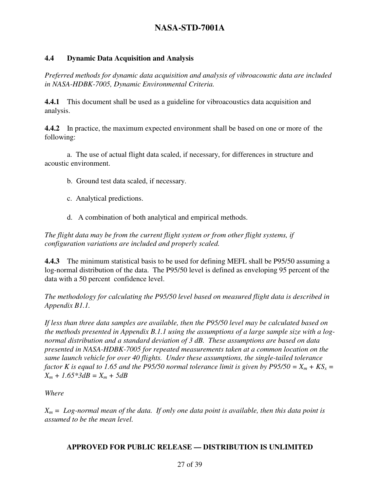#### **4.4 Dynamic Data Acquisition and Analysis**

*Preferred methods for dynamic data acquisition and analysis of vibroacoustic data are included in NASA-HDBK-7005, Dynamic Environmental Criteria.* 

**4.4.1** This document shall be used as a guideline for vibroacoustics data acquisition and analysis.

**4.4.2** In practice, the maximum expected environment shall be based on one or more of the following:

 a. The use of actual flight data scaled, if necessary, for differences in structure and acoustic environment.

- b. Ground test data scaled, if necessary.
- c. Analytical predictions.
- d. A combination of both analytical and empirical methods.

*The flight data may be from the current flight system or from other flight systems, if configuration variations are included and properly scaled.* 

**4.4.3** The minimum statistical basis to be used for defining MEFL shall be P95/50 assuming a log-normal distribution of the data. The P95/50 level is defined as enveloping 95 percent of the data with a 50 percent confidence level.

*The methodology for calculating the P95/50 level based on measured flight data is described in Appendix B1.1.* 

*If less than three data samples are available, then the P95/50 level may be calculated based on the methods presented in Appendix B.1.1 using the assumptions of a large sample size with a lognormal distribution and a standard deviation of 3 dB. These assumptions are based on data presented in NASA-HDBK-7005 for repeated measurements taken at a common location on the same launch vehicle for over 40 flights. Under these assumptions, the single-tailed tolerance factor K is equal to 1.65 and the P95/50 normal tolerance limit is given by P95/50 =*  $X_m + KS_x$  *=*  $X_m + 1.65*3dB = X_m + 5dB$ 

*Where* 

 $X_m = Log$ -normal mean of the data. If only one data point is available, then this data point is *assumed to be the mean level.* 

#### **APPROVED FOR PUBLIC RELEASE — DISTRIBUTION IS UNLIMITED**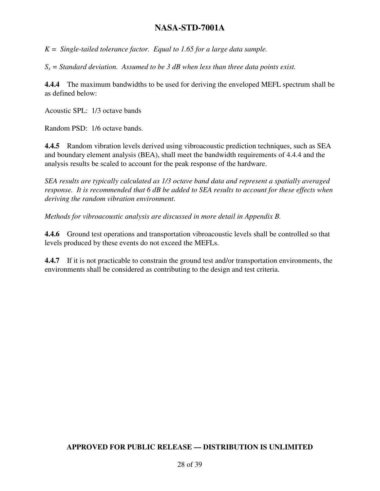*K = Single-tailed tolerance factor. Equal to 1.65 for a large data sample.* 

 $S_x$  = Standard deviation. Assumed to be 3 dB when less than three data points exist.

**4.4.4** The maximum bandwidths to be used for deriving the enveloped MEFL spectrum shall be as defined below:

Acoustic SPL: 1/3 octave bands

Random PSD: 1/6 octave bands.

**4.4.5** Random vibration levels derived using vibroacoustic prediction techniques, such as SEA and boundary element analysis (BEA), shall meet the bandwidth requirements of 4.4.4 and the analysis results be scaled to account for the peak response of the hardware.

*SEA results are typically calculated as 1/3 octave band data and represent a spatially averaged response. It is recommended that 6 dB be added to SEA results to account for these effects when deriving the random vibration environment*.

*Methods for vibroacoustic analysis are discussed in more detail in Appendix B.* 

**4.4.6** Ground test operations and transportation vibroacoustic levels shall be controlled so that levels produced by these events do not exceed the MEFLs.

**4.4.7** If it is not practicable to constrain the ground test and/or transportation environments, the environments shall be considered as contributing to the design and test criteria.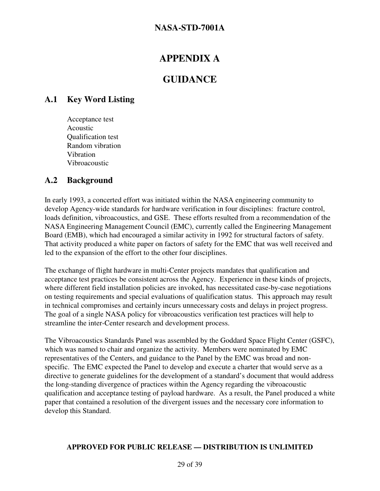# **APPENDIX A**

# **GUIDANCE**

# **A.1 Key Word Listing**

Acceptance test Acoustic Qualification test Random vibration Vibration Vibroacoustic

#### **A.2 Background**

In early 1993, a concerted effort was initiated within the NASA engineering community to develop Agency-wide standards for hardware verification in four disciplines: fracture control, loads definition, vibroacoustics, and GSE. These efforts resulted from a recommendation of the NASA Engineering Management Council (EMC), currently called the Engineering Management Board (EMB), which had encouraged a similar activity in 1992 for structural factors of safety. That activity produced a white paper on factors of safety for the EMC that was well received and led to the expansion of the effort to the other four disciplines.

The exchange of flight hardware in multi-Center projects mandates that qualification and acceptance test practices be consistent across the Agency. Experience in these kinds of projects, where different field installation policies are invoked, has necessitated case-by-case negotiations on testing requirements and special evaluations of qualification status. This approach may result in technical compromises and certainly incurs unnecessary costs and delays in project progress. The goal of a single NASA policy for vibroacoustics verification test practices will help to streamline the inter-Center research and development process.

The Vibroacoustics Standards Panel was assembled by the Goddard Space Flight Center (GSFC), which was named to chair and organize the activity. Members were nominated by EMC representatives of the Centers, and guidance to the Panel by the EMC was broad and nonspecific. The EMC expected the Panel to develop and execute a charter that would serve as a directive to generate guidelines for the development of a standard's document that would address the long-standing divergence of practices within the Agency regarding the vibroacoustic qualification and acceptance testing of payload hardware. As a result, the Panel produced a white paper that contained a resolution of the divergent issues and the necessary core information to develop this Standard.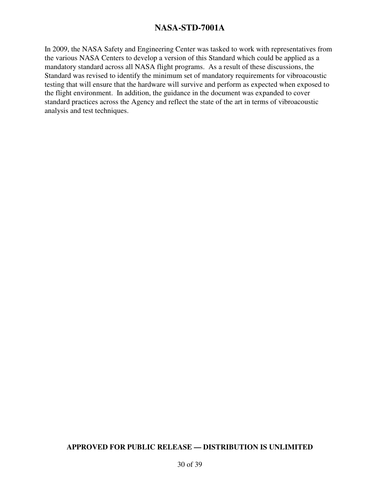In 2009, the NASA Safety and Engineering Center was tasked to work with representatives from the various NASA Centers to develop a version of this Standard which could be applied as a mandatory standard across all NASA flight programs. As a result of these discussions, the Standard was revised to identify the minimum set of mandatory requirements for vibroacoustic testing that will ensure that the hardware will survive and perform as expected when exposed to the flight environment. In addition, the guidance in the document was expanded to cover standard practices across the Agency and reflect the state of the art in terms of vibroacoustic analysis and test techniques.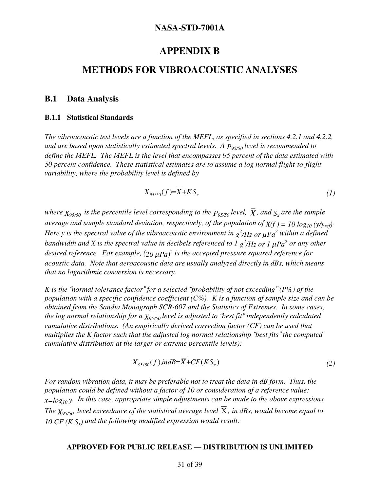#### **APPENDIX B**

#### **METHODS FOR VIBROACOUSTIC ANALYSES**

#### **B.1 Data Analysis**

#### **B.1.1 Statistical Standards**

*The vibroacoustic test levels are a function of the MEFL, as specified in sections 4.2.1 and 4.2.2, and are based upon statistically estimated spectral levels. A P95/50 level is recommended to define the MEFL. The MEFL is the level that encompasses 95 percent of the data estimated with 50 percent confidence. These statistical estimates are to assume a log normal flight-to-flight variability, where the probability level is defined by* 

$$
X_{95/50}(f) = \overline{X} + KS_x \tag{1}
$$

*where X95/50 is the percentile level corresponding to the P95/50 level, X, and S<sup>x</sup> are the sample average and sample standard deviation, respectively, of the population of X(f ) = 10 log10 (y/yref) . Here y is the spectral value of the vibroacoustic environment in*  $g^2/Hz$  *or*  $\mu Pa^2$  *within a defined bandwidth and X is the spectral value in decibels referenced to 1*  $g^2/Hz$  *or 1*  $\mu Pa^2$  *or any other desired reference. For example, (20 µPa)<sup>2</sup> is the accepted pressure squared reference for acoustic data. Note that aeroacoustic data are usually analyzed directly in dBs, which means that no logarithmic conversion is necessary.* 

*K is the* "*normal tolerance factor*" *for a selected* "*probability of not exceeding*" *(P%) of the population with a specific confidence coefficient (C%). K is a function of sample size and can be obtained from the Sandia Monograph SCR-607 and the Statistics of Extremes. In some cases, the log normal relationship for a X95/50 level is adjusted to* "*best fit*" *independently calculated cumulative distributions. (An empirically derived correction factor (CF) can be used that multiplies the K factor such that the adjusted log normal relationship* "*best fits*" *the computed cumulative distribution at the larger or extreme percentile levels):* 

$$
X_{95/50}(f), indB = \overline{X} + CF(KS_x)
$$
\n<sup>(2)</sup>

*For random vibration data, it may be preferable not to treat the data in dB form. Thus, the population could be defined without a factor of 10 or consideration of a reference value:*   $x = log_{10} y$ . In this case, appropriate simple adjustments can be made to the above expressions. *The*  $X_{95/50}$  level exceedance of the statistical average level  $\overline{X}$ , in dBs, would become equal to *10 CF (K Sx) and the following modified expression would result:*

#### **APPROVED FOR PUBLIC RELEASE — DISTRIBUTION IS UNLIMITED**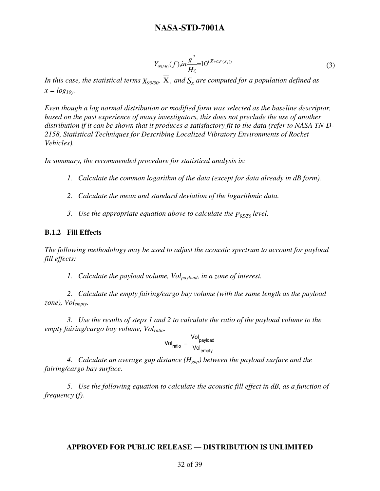$$
Y_{95/50}(f), in \frac{g^2}{Hz} = 10^{(\bar{X} + CF(S_x))}
$$
\n(3)

*In this case, the statistical terms X95/50,* X *, and S<sup>x</sup> are computed for a population defined as*   $x = log_{10y}$ .

*Even though a log normal distribution or modified form was selected as the baseline descriptor, based on the past experience of many investigators, this does not preclude the use of another distribution if it can be shown that it produces a satisfactory fit to the data (refer to NASA TN-D-2158, Statistical Techniques for Describing Localized Vibratory Environments of Rocket Vehicles).* 

*In summary, the recommended procedure for statistical analysis is:* 

- *1. Calculate the common logarithm of the data (except for data already in dB form).*
- *2. Calculate the mean and standard deviation of the logarithmic data.*
- *3. Use the appropriate equation above to calculate the P95/50 level.*

#### **B.1.2 Fill Effects**

*The following methodology may be used to adjust the acoustic spectrum to account for payload fill effects:* 

 *1. Calculate the payload volume, Volpayload, in a zone of interest.* 

 *2. Calculate the empty fairing/cargo bay volume (with the same length as the payload zone), Volempty.* 

 *3. Use the results of steps 1 and 2 to calculate the ratio of the payload volume to the empty fairing/cargo bay volume, Volratio.* 

$$
Vol_{ratio} = \frac{Vol_{payload}}{Vol_{empty}}
$$

 *4. Calculate an average gap distance (Hgap) between the payload surface and the fairing/cargo bay surface.* 

 *5. Use the following equation to calculate the acoustic fill effect in dB, as a function of frequency (f).* 

#### **APPROVED FOR PUBLIC RELEASE — DISTRIBUTION IS UNLIMITED**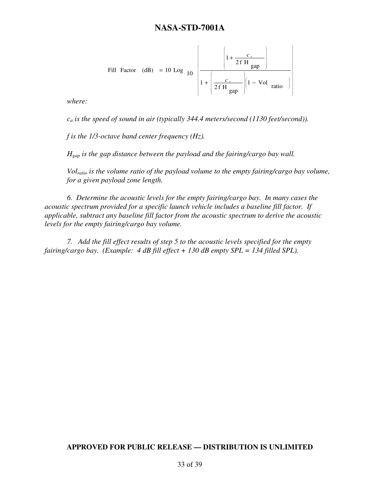Fill Factor (dB) = 10 Log 
$$
10 \left[ 1 + \frac{c_a}{2f H_{gap}} \right]
$$

$$
1 + \left[ \frac{c_a}{2f H_{gap}} \right] \left( 1 - \text{Vol ratio} \right)
$$

*where:* 

*ca is the speed of sound in air (typically 344.4 meters/second (1130 feet/second)).* 

*f is the 1/3-octave band center frequency (Hz).* 

*Hgap is the gap distance between the payload and the fairing/cargo bay wall.* 

*Volratio is the volume ratio of the payload volume to the empty fairing/cargo bay volume, for a given payload zone length.* 

*6. Determine the acoustic levels for the empty fairing/cargo bay. In many cases the acoustic spectrum provided for a specific launch vehicle includes a baseline fill factor. If applicable, subtract any baseline fill factor from the acoustic spectrum to derive the acoustic levels for the empty fairing/cargo bay volume.* 

 *7. Add the fill effect results of step 5 to the acoustic levels specified for the empty fairing/cargo bay. (Example: 4 dB fill effect + 130 dB empty SPL = 134 filled SPL).*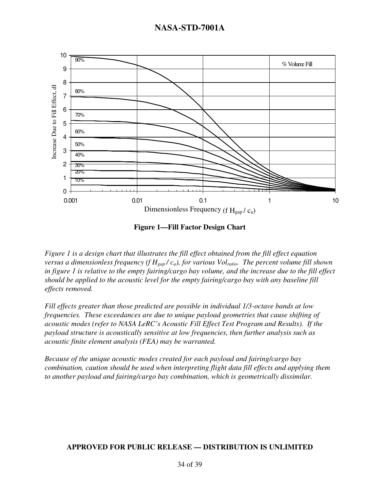

**Figure 1—Fill Factor Design Chart**

*Figure 1 is a design chart that illustrates the fill effect obtained from the fill effect equation versus a dimensionless frequency (f Hgap / ca), for various Volratio. The percent volume fill shown in figure 1 is relative to the empty fairing/cargo bay volume, and the increase due to the fill effect should be applied to the acoustic level for the empty fairing/cargo bay with any baseline fill effects removed.* 

*Fill effects greater than those predicted are possible in individual 1/3-octave bands at low frequencies. These exceedances are due to unique payload geometries that cause shifting of acoustic modes (refer to NASA LeRC's Acoustic Fill Effect Test Program and Results). If the payload structure is acoustically sensitive at low frequencies, then further analysis such as acoustic finite element analysis (FEA) may be warranted.*

*Because of the unique acoustic modes created for each payload and fairing/cargo bay combination, caution should be used when interpreting flight data fill effects and applying them to another payload and fairing/cargo bay combination, which is geometrically dissimilar.*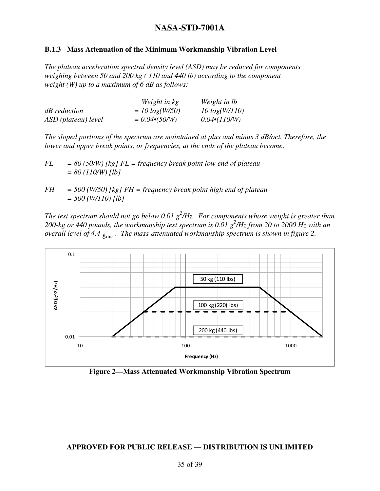#### **B.1.3 Mass Attenuation of the Minimum Workmanship Vibration Level**

*The plateau acceleration spectral density level (ASD) may be reduced for components weighing between 50 and 200 kg ( 110 and 440 lb) according to the component weight (W) up to a maximum of 6 dB as follows:* 

|                     | Weight in kg          | Weight in lb         |
|---------------------|-----------------------|----------------------|
| <i>dB</i> reduction | $=$ 10 $log(W/50)$    | 10 log(W/110)        |
| ASD (plateau) level | $= 0.04 \cdot (50/W)$ | $0.04 \cdot (110/W)$ |

*The sloped portions of the spectrum are maintained at plus and minus 3 dB/oct. Therefore, the lower and upper break points, or frequencies, at the ends of the plateau become:* 

- *FL = 80 (50/W) [kg] FL = frequency break point low end of plateau = 80 (110/W) [lb]*
- *FH = 500 (W/50) [kg] FH = frequency break point high end of plateau = 500 (W/110) [lb]*

*The test spectrum should not go below 0.01 g<sup>2</sup> /Hz. For components whose weight is greater than 200-kg or 440 pounds, the workmanship test spectrum is 0.01 g<sup>2</sup> /Hz from 20 to 2000 Hz with an overall level of 4.4*  $g_{rms}$ *. The mass-attenuated workmanship spectrum is shown in figure 2.* 



**Figure 2—Mass Attenuated Workmanship Vibration Spectrum**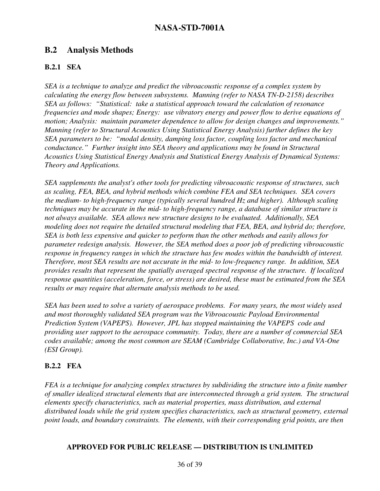#### **B.2 Analysis Methods**

#### **B.2.1 SEA**

*SEA is a technique to analyze and predict the vibroacoustic response of a complex system by calculating the energy flow between subsystems. Manning (refer to NASA TN-D-2158) describes SEA as follows: "Statistical: take a statistical approach toward the calculation of resonance frequencies and mode shapes; Energy: use vibratory energy and power flow to derive equations of motion; Analysis: maintain parameter dependence to allow for design changes and improvements." Manning (refer to Structural Acoustics Using Statistical Energy Analysis) further defines the key SEA parameters to be: "modal density, damping loss factor, coupling loss factor and mechanical conductance." Further insight into SEA theory and applications may be found in Structural Acoustics Using Statistical Energy Analysis and Statistical Energy Analysis of Dynamical Systems: Theory and Applications.* 

*SEA supplements the analyst's other tools for predicting vibroacoustic response of structures, such as scaling, FEA, BEA, and hybrid methods which combine FEA and SEA techniques. SEA covers the medium- to high-frequency range (typically several hundred Hz and higher). Although scaling techniques may be accurate in the mid- to high-frequency range, a database of similar structure is not always available. SEA allows new structure designs to be evaluated. Additionally, SEA modeling does not require the detailed structural modeling that FEA, BEA, and hybrid do; therefore, SEA is both less expensive and quicker to perform than the other methods and easily allows for parameter redesign analysis. However, the SEA method does a poor job of predicting vibroacoustic response in frequency ranges in which the structure has few modes within the bandwidth of interest. Therefore, most SEA results are not accurate in the mid- to low-frequency range. In addition, SEA provides results that represent the spatially averaged spectral response of the structure. If localized response quantities (acceleration, force, or stress) are desired, these must be estimated from the SEA results or may require that alternate analysis methods to be used.* 

*SEA has been used to solve a variety of aerospace problems. For many years, the most widely used and most thoroughly validated SEA program was the Vibroacoustic Payload Environmental Prediction System (VAPEPS). However, JPL has stopped maintaining the VAPEPS code and providing user support to the aerospace community. Today, there are a number of commercial SEA codes available; among the most common are SEAM (Cambridge Collaborative, Inc.) and VA-One (ESI Group).*

#### **B.2.2 FEA**

*FEA is a technique for analyzing complex structures by subdividing the structure into a finite number of smaller idealized structural elements that are interconnected through a grid system. The structural elements specify characteristics, such as material properties, mass distribution, and external distributed loads while the grid system specifies characteristics, such as structural geometry, external point loads, and boundary constraints. The elements, with their corresponding grid points, are then*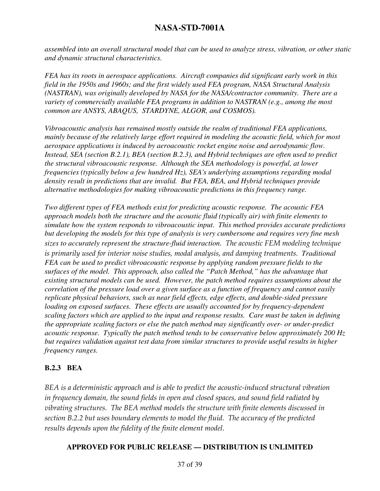*assembled into an overall structural model that can be used to analyze stress, vibration, or other static and dynamic structural characteristics.* 

*FEA has its roots in aerospace applications. Aircraft companies did significant early work in this field in the 1950s and 1960s; and the first widely used FEA program, NASA Structural Analysis (NASTRAN), was originally developed by NASA for the NASA/contractor community. There are a variety of commercially available FEA programs in addition to NASTRAN (e.g., among the most common are ANSYS, ABAQUS, STARDYNE, ALGOR, and COSMOS).* 

*Vibroacoustic analysis has remained mostly outside the realm of traditional FEA applications, mainly because of the relatively large effort required in modeling the acoustic field, which for most aerospace applications is induced by aeroacoustic rocket engine noise and aerodynamic flow. Instead, SEA (section B.2.1), BEA (section B.2.3), and Hybrid techniques are often used to predict the structural vibroacoustic response. Although the SEA methodology is powerful, at lower frequencies (typically below a few hundred Hz), SEA's underlying assumptions regarding modal density result in predictions that are invalid. But FEA, BEA, and Hybrid techniques provide alternative methodologies for making vibroacoustic predictions in this frequency range.* 

*Two different types of FEA methods exist for predicting acoustic response. The acoustic FEA approach models both the structure and the acoustic fluid (typically air) with finite elements to simulate how the system responds to vibroacoustic input. This method provides accurate predictions but developing the models for this type of analysis is very cumbersome and requires very fine mesh sizes to accurately represent the structure-fluid interaction.* The acoustic FEM modeling technique is primarily used for interior noise studies, modal analysis, and damping treatments. *Traditional FEA can be used to predict vibroacoustic response by applying random pressure fields to the surfaces of the model. This approach, also called the "Patch Method," has the advantage that existing structural models can be used. However, the patch method requires assumptions about the correlation of the pressure load over a given surface as a function of frequency and cannot easily replicate physical behaviors, such as near field effects, edge effects, and double-sided pressure loading on exposed surfaces. These effects are usually accounted for by frequency-dependent scaling factors which are applied to the input and response results. Care must be taken in defining the appropriate scaling factors or else the patch method may significantly over- or under-predict acoustic response. Typically the patch method tends to be conservative below approximately 200 Hz but requires validation against test data from similar structures to provide useful results in higher frequency ranges.* 

#### **B.2.3 BEA**

BEA is a deterministic approach and is able to predict the acoustic-induced structural vibration in frequency domain, the sound fields in open and closed spaces, and sound field radiated by vibrating structures. The BEA method models the structure with finite elements discussed in section B.2.2 but uses boundary elements to model the fluid. The accuracy of the predicted results depends upon the fidelity of the finite element model.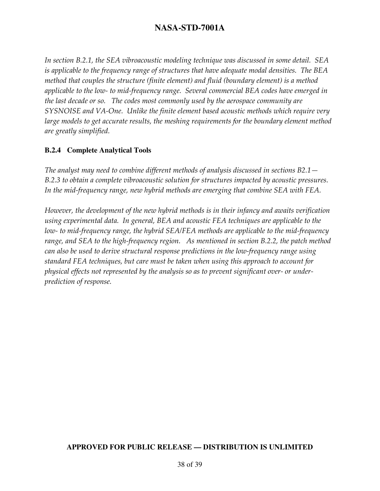In section B.2.1, the SEA vibroacoustic modeling technique was discussed in some detail. SEA is applicable to the frequency range of structures that have adequate modal densities. The BEA method that couples the structure (finite element) and fluid (boundary element) is a method applicable to the low- to mid-frequency range. Several commercial BEA codes have emerged in the last decade or so. The codes most commonly used by the aerospace community are SYSNOISE and VA-One. Unlike the finite element based acoustic methods which require very large models to get accurate results, the meshing requirements for the boundary element method are greatly simplified.

#### **B.2.4 Complete Analytical Tools**

The analyst may need to combine different methods of analysis discussed in sections  $B2.1-$ B.2.3 to obtain a complete vibroacoustic solution for structures impacted by acoustic pressures. In the mid-frequency range, new hybrid methods are emerging that combine SEA with FEA.

However, the development of the new hybrid methods is in their infancy and awaits verification using experimental data. In general, BEA and acoustic FEA techniques are applicable to the low- to mid-frequency range, the hybrid SEA/FEA methods are applicable to the mid-frequency range, and SEA to the high-frequency region. As mentioned in section B.2.2, the patch method can also be used to derive structural response predictions in the low-frequency range using standard FEA techniques, but care must be taken when using this approach to account for physical effects not represented by the analysis so as to prevent significant over- or underprediction of response.